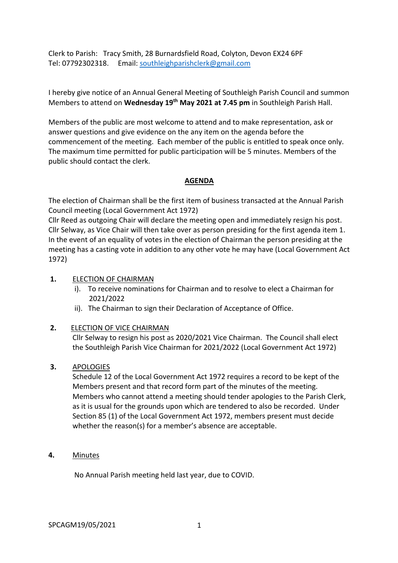Clerk to Parish: Tracy Smith, 28 Burnardsfield Road, Colyton, Devon EX24 6PF Tel: 07792302318. Email: southleighparishclerk@gmail.com

I hereby give notice of an Annual General Meeting of Southleigh Parish Council and summon Members to attend on **Wednesday 19th May 2021 at 7.45 pm** in Southleigh Parish Hall.

Members of the public are most welcome to attend and to make representation, ask or answer questions and give evidence on the any item on the agenda before the commencement of the meeting. Each member of the public is entitled to speak once only. The maximum time permitted for public participation will be 5 minutes. Members of the public should contact the clerk.

## **AGENDA**

The election of Chairman shall be the first item of business transacted at the Annual Parish Council meeting (Local Government Act 1972)

Cllr Reed as outgoing Chair will declare the meeting open and immediately resign his post. Cllr Selway, as Vice Chair will then take over as person presiding for the first agenda item 1. In the event of an equality of votes in the election of Chairman the person presiding at the meeting has a casting vote in addition to any other vote he may have (Local Government Act 1972)

### **1.** ELECTION OF CHAIRMAN

- i). To receive nominations for Chairman and to resolve to elect a Chairman for 2021/2022
- ii). The Chairman to sign their Declaration of Acceptance of Office.

## **2.** ELECTION OF VICE CHAIRMAN

Cllr Selway to resign his post as 2020/2021 Vice Chairman. The Council shall elect the Southleigh Parish Vice Chairman for 2021/2022 (Local Government Act 1972)

#### **3.** APOLOGIES

Schedule 12 of the Local Government Act 1972 requires a record to be kept of the Members present and that record form part of the minutes of the meeting. Members who cannot attend a meeting should tender apologies to the Parish Clerk, as it is usual for the grounds upon which are tendered to also be recorded. Under Section 85 (1) of the Local Government Act 1972, members present must decide whether the reason(s) for a member's absence are acceptable.

**4.** Minutes

No Annual Parish meeting held last year, due to COVID.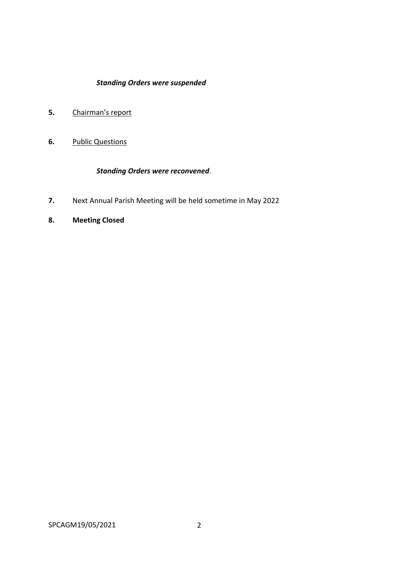# *Standing Orders were suspended*

- **5.** Chairman's report
- **6.** Public Questions

## *Standing Orders were reconvened*.

- **7.** Next Annual Parish Meeting will be held sometime in May 2022
- **8. Meeting Closed**